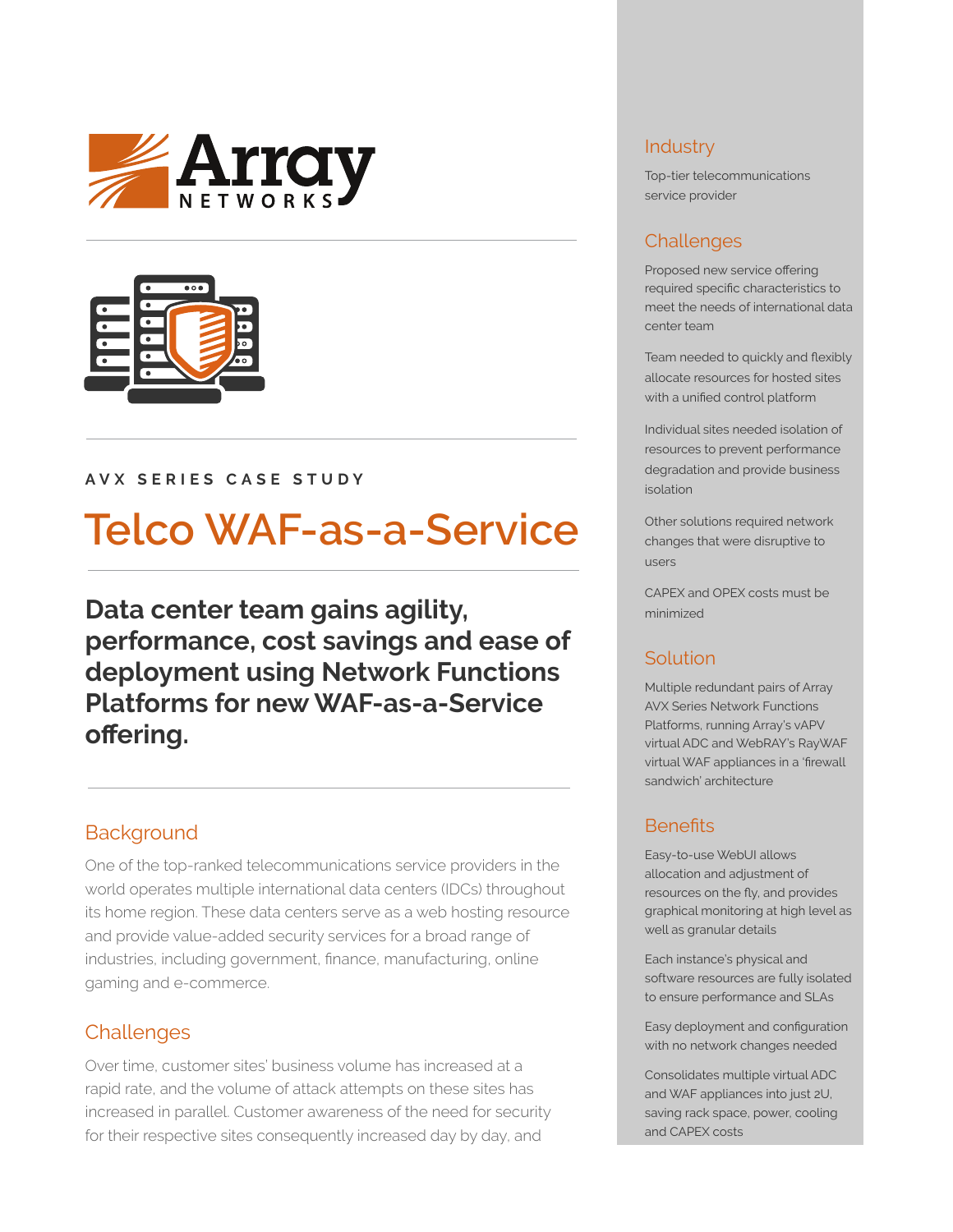



#### **AVX SERIES CASE STUDY**

# **Telco WAF-as-a-Service**

**Data center team gains agility, performance, cost savings and ease of deployment using Network Functions Platforms for new WAF-as-a-Service offering.**

## **Background**

One of the top-ranked telecommunications service providers in the world operates multiple international data centers (IDCs) throughout its home region. These data centers serve as a web hosting resource and provide value-added security services for a broad range of industries, including government, finance, manufacturing, online gaming and e-commerce.

## **Challenges**

Over time, customer sites' business volume has increased at a rapid rate, and the volume of attack attempts on these sites has increased in parallel. Customer awareness of the need for security for their respective sites consequently increased day by day, and

#### **Industry**

Top-tier telecommunications service provider

## Challenges

Proposed new service offering required specific characteristics to meet the needs of international data center team

Team needed to quickly and flexibly allocate resources for hosted sites with a unified control platform

Individual sites needed isolation of resources to prevent performance degradation and provide business isolation

Other solutions required network changes that were disruptive to users

CAPEX and OPEX costs must be minimized

## Solution

Multiple redundant pairs of Array AVX Series Network Functions Platforms, running Array's vAPV virtual ADC and WebRAY's RayWAF virtual WAF appliances in a 'firewall sandwich' architecture

## **Benefits**

Easy-to-use WebUI allows allocation and adjustment of resources on the fly, and provides graphical monitoring at high level as well as granular details

Each instance's physical and software resources are fully isolated to ensure performance and SLAs

Easy deployment and configuration with no network changes needed

Consolidates multiple virtual ADC and WAF appliances into just 2U, saving rack space, power, cooling and CAPEX costs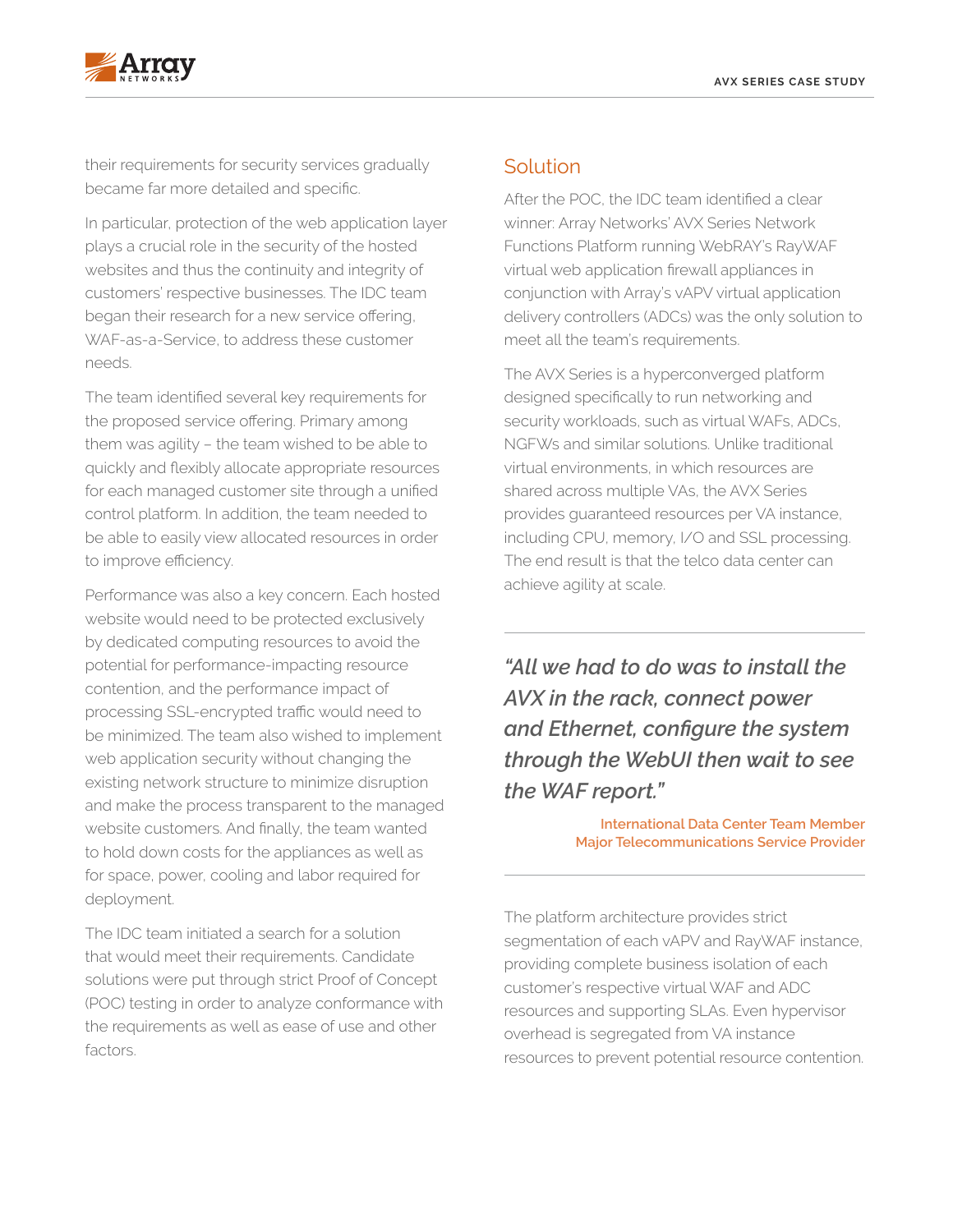



their requirements for security services gradually became far more detailed and specific.

In particular, protection of the web application layer plays a crucial role in the security of the hosted websites and thus the continuity and integrity of customers' respective businesses. The IDC team began their research for a new service offering, WAF-as-a-Service, to address these customer needs.

The team identified several key requirements for the proposed service offering. Primary among them was agility – the team wished to be able to quickly and flexibly allocate appropriate resources for each managed customer site through a unified control platform. In addition, the team needed to be able to easily view allocated resources in order to improve efficiency.

Performance was also a key concern. Each hosted website would need to be protected exclusively by dedicated computing resources to avoid the potential for performance-impacting resource contention, and the performance impact of processing SSL-encrypted traffic would need to be minimized. The team also wished to implement web application security without changing the existing network structure to minimize disruption and make the process transparent to the managed website customers. And finally, the team wanted to hold down costs for the appliances as well as for space, power, cooling and labor required for deployment.

The IDC team initiated a search for a solution that would meet their requirements. Candidate solutions were put through strict Proof of Concept (POC) testing in order to analyze conformance with the requirements as well as ease of use and other factors.

#### Solution

After the POC, the IDC team identified a clear winner: Array Networks' AVX Series Network Functions Platform running WebRAY's RayWAF virtual web application firewall appliances in conjunction with Array's vAPV virtual application delivery controllers (ADCs) was the only solution to meet all the team's requirements.

The AVX Series is a hyperconverged platform designed specifically to run networking and security workloads, such as virtual WAFs, ADCs, NGFWs and similar solutions. Unlike traditional virtual environments, in which resources are shared across multiple VAs, the AVX Series provides guaranteed resources per VA instance, including CPU, memory, I/O and SSL processing. The end result is that the telco data center can achieve agility at scale.

*"All we had to do was to install the AVX in the rack, connect power and Ethernet, configure the system through the WebUI then wait to see the WAF report."*

> **International Data Center Team Member Major Telecommunications Service Provider**

The platform architecture provides strict segmentation of each vAPV and RayWAF instance, providing complete business isolation of each customer's respective virtual WAF and ADC resources and supporting SLAs. Even hypervisor overhead is segregated from VA instance resources to prevent potential resource contention.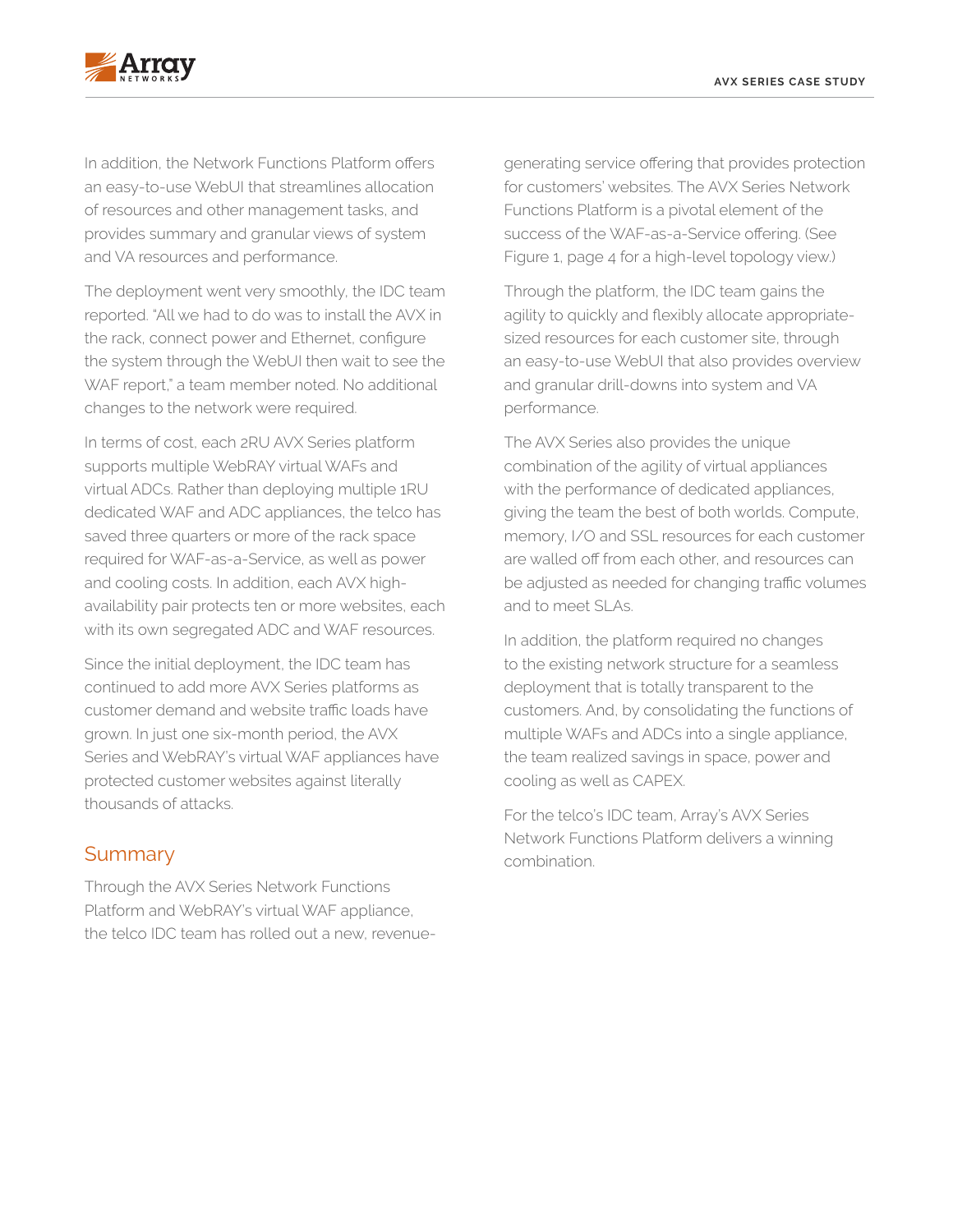

In addition, the Network Functions Platform offers an easy-to-use WebUI that streamlines allocation of resources and other management tasks, and provides summary and granular views of system and VA resources and performance.

The deployment went very smoothly, the IDC team reported. "All we had to do was to install the AVX in the rack, connect power and Ethernet, configure the system through the WebUI then wait to see the WAF report," a team member noted. No additional changes to the network were required.

In terms of cost, each 2RU AVX Series platform supports multiple WebRAY virtual WAFs and virtual ADCs. Rather than deploying multiple 1RU dedicated WAF and ADC appliances, the telco has saved three quarters or more of the rack space required for WAF-as-a-Service, as well as power and cooling costs. In addition, each AVX highavailability pair protects ten or more websites, each with its own segregated ADC and WAF resources.

Since the initial deployment, the IDC team has continued to add more AVX Series platforms as customer demand and website traffic loads have grown. In just one six-month period, the AVX Series and WebRAY's virtual WAF appliances have protected customer websites against literally thousands of attacks.

#### **Summary**

Through the AVX Series Network Functions Platform and WebRAY's virtual WAF appliance, the telco IDC team has rolled out a new, revenuegenerating service offering that provides protection for customers' websites. The AVX Series Network Functions Platform is a pivotal element of the success of the WAF-as-a-Service offering. (See Figure 1, page 4 for a high-level topology view.)

Through the platform, the IDC team gains the agility to quickly and flexibly allocate appropriatesized resources for each customer site, through an easy-to-use WebUI that also provides overview and granular drill-downs into system and VA performance.

The AVX Series also provides the unique combination of the agility of virtual appliances with the performance of dedicated appliances, giving the team the best of both worlds. Compute, memory, I/O and SSL resources for each customer are walled off from each other, and resources can be adjusted as needed for changing traffic volumes and to meet SLAs.

In addition, the platform required no changes to the existing network structure for a seamless deployment that is totally transparent to the customers. And, by consolidating the functions of multiple WAFs and ADCs into a single appliance, the team realized savings in space, power and cooling as well as CAPEX.

For the telco's IDC team, Array's AVX Series Network Functions Platform delivers a winning combination.